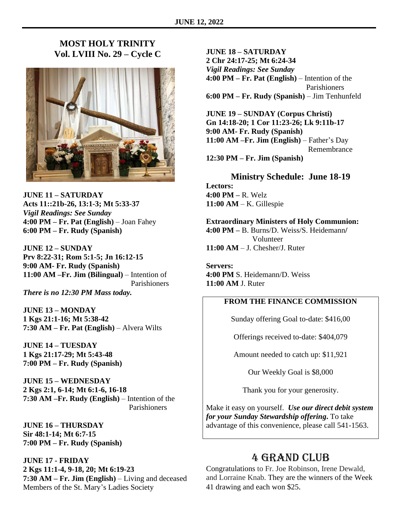## **MOST HOLY TRINITY Vol. LVIII No. 29 – Cycle C**



**JUNE 11 – SATURDAY Acts 11::21b-26, 13:1-3; Mt 5:33-37** *Vigil Readings: See Sunday* **4:00 PM – Fr. Pat (English)** – Joan Fahey **6:00 PM – Fr. Rudy (Spanish)**

**JUNE 12 – SUNDAY Prv 8:22-31; Rom 5:1-5; Jn 16:12-15 9:00 AM- Fr. Rudy (Spanish) 11:00 AM –Fr. Jim (Bilingual)** – Intention of Parishioners *There is no 12:30 PM Mass today.*

**JUNE 13 – MONDAY 1 Kgs 21:1-16; Mt 5:38-42 7:30 AM – Fr. Pat (English)** – Alvera Wilts

**JUNE 14 – TUESDAY 1 Kgs 21:17-29; Mt 5:43-48 7:00 PM – Fr. Rudy (Spanish)**

**JUNE 15 – WEDNESDAY 2 Kgs 2:1, 6-14; Mt 6:1-6, 16-18 7:30 AM –Fr. Rudy (English)** – Intention of the Parishioners

**JUNE 16 – THURSDAY Sir 48:1-14; Mt 6:7-15 7:00 PM – Fr. Rudy (Spanish)**

**JUNE 17 - FRIDAY 2 Kgs 11:1-4, 9-18, 20; Mt 6:19-23 7:30 AM – Fr. Jim (English)** – Living and deceased Members of the St. Mary's Ladies Society

**JUNE 18 – SATURDAY 2 Chr 24:17-25; Mt 6:24-34** *Vigil Readings: See Sunday* **4:00 PM – Fr. Pat (English)** – Intention of the Parishioners **6:00 PM – Fr. Rudy (Spanish)** – Jim Tenhunfeld

**JUNE 19 – SUNDAY (Corpus Christi) Gn 14:18-20; 1 Cor 11:23-26; Lk 9:11b-17 9:00 AM- Fr. Rudy (Spanish) 11:00 AM –Fr. Jim (English)** – Father's Day Remembrance **12:30 PM – Fr. Jim (Spanish)**

**Ministry Schedule: June 18-19 Lectors: 4:00 PM –** R. Welz

**11:00 AM** – K. Gillespie

**Extraordinary Ministers of Holy Communion:** 

**4:00 PM –** B. Burns/D. Weiss/S. Heidemann**/** Volunteer **11:00 AM** – J. Chesher/J. Ruter

**Servers: 4:00 PM** S. Heidemann/D. Weiss **11:00 AM** J. Ruter

## **FROM THE FINANCE COMMISSION**

Sunday offering Goal to-date: \$416,00

Offerings received to-date: \$404,079

Amount needed to catch up: \$11,921

Our Weekly Goal is \$8,000

Thank you for your generosity.

Make it easy on yourself. *Use our direct debit system for your Sunday Stewardship offering***.** To take advantage of this convenience, please call 541-1563.

## 4 Grand Club

Congratulations to Fr. Joe Robinson, Irene Dewald, and Lorraine Knab. They are the winners of the Week 41 drawing and each won \$25.